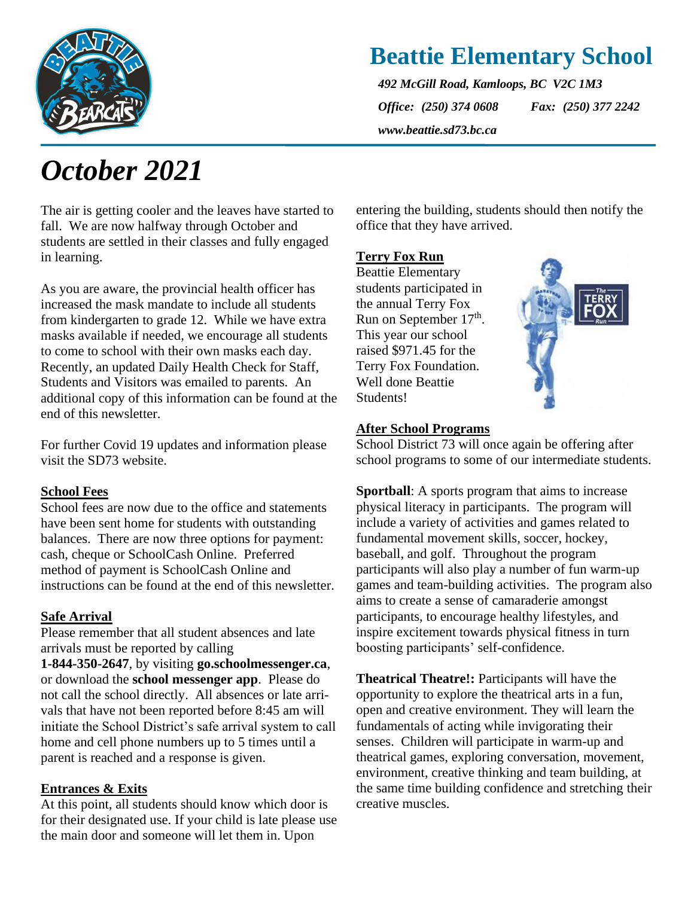

### **Beattie Elementary School**

*492 McGill Road, Kamloops, BC V2C 1M3 Office: (250) 374 0608 Fax: (250) 377 2242 www.beattie.sd73.bc.ca*

# *October 2021*

The air is getting cooler and the leaves have started to fall. We are now halfway through October and students are settled in their classes and fully engaged in learning.

As you are aware, the provincial health officer has increased the mask mandate to include all students from kindergarten to grade 12. While we have extra masks available if needed, we encourage all students to come to school with their own masks each day. Recently, an updated Daily Health Check for Staff, Students and Visitors was emailed to parents. An additional copy of this information can be found at the end of this newsletter.

For further Covid 19 updates and information please visit the SD73 website.

#### **School Fees**

School fees are now due to the office and statements have been sent home for students with outstanding balances. There are now three options for payment: cash, cheque or SchoolCash Online. Preferred method of payment is SchoolCash Online and instructions can be found at the end of this newsletter.

#### **Safe Arrival**

Please remember that all student absences and late arrivals must be reported by calling

**1-844-350-2647**, by visiting **go.schoolmessenger.ca**, or download the **school messenger app**. Please do not call the school directly. All absences or late arrivals that have not been reported before 8:45 am will initiate the School District's safe arrival system to call home and cell phone numbers up to 5 times until a parent is reached and a response is given.

#### **Entrances & Exits**

At this point, all students should know which door is for their designated use. If your child is late please use the main door and someone will let them in. Upon

entering the building, students should then notify the office that they have arrived.

#### **Terry Fox Run**

Beattie Elementary students participated in the annual Terry Fox Run on September 17<sup>th</sup>. This year our school raised \$971.45 for the Terry Fox Foundation. Well done Beattie Students!



#### **After School Programs**

School District 73 will once again be offering after school programs to some of our intermediate students.

**Sportball**: A sports program that aims to increase physical literacy in participants. The program will include a variety of activities and games related to fundamental movement skills, soccer, hockey, baseball, and golf. Throughout the program participants will also play a number of fun warm-up games and team-building activities. The program also aims to create a sense of camaraderie amongst participants, to encourage healthy lifestyles, and inspire excitement towards physical fitness in turn boosting participants' self-confidence.

**Theatrical Theatre!:** Participants will have the opportunity to explore the theatrical arts in a fun, open and creative environment. They will learn the fundamentals of acting while invigorating their senses. Children will participate in warm-up and theatrical games, exploring conversation, movement, environment, creative thinking and team building, at the same time building confidence and stretching their creative muscles.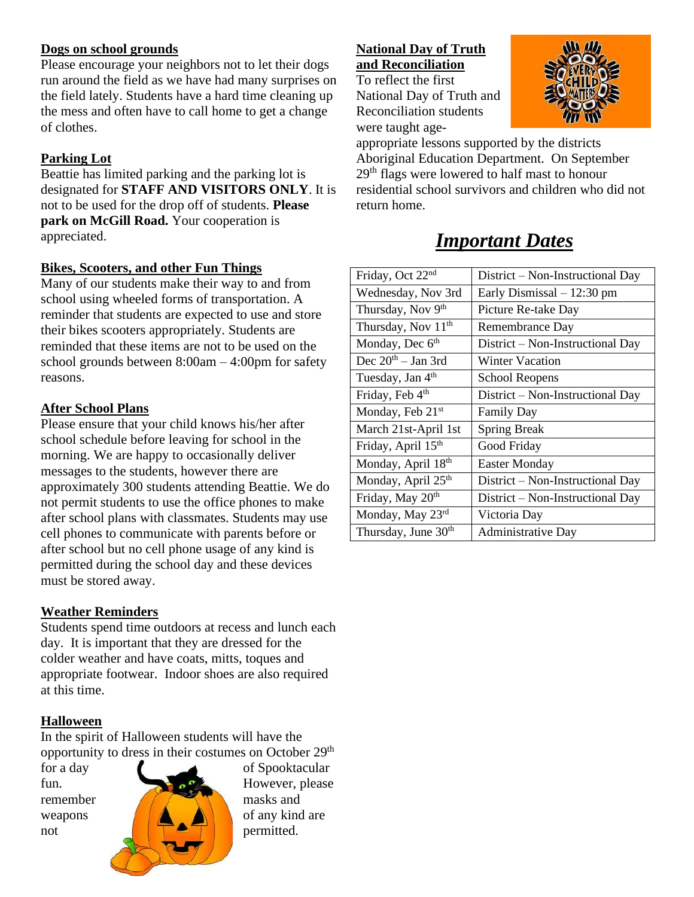#### **Dogs on school grounds**

Please encourage your neighbors not to let their dogs run around the field as we have had many surprises on the field lately. Students have a hard time cleaning up the mess and often have to call home to get a change of clothes.

#### **Parking Lot**

Beattie has limited parking and the parking lot is designated for **STAFF AND VISITORS ONLY**. It is not to be used for the drop off of students. **Please park on McGill Road.** Your cooperation is appreciated.

#### **Bikes, Scooters, and other Fun Things**

Many of our students make their way to and from school using wheeled forms of transportation. A reminder that students are expected to use and store their bikes scooters appropriately. Students are reminded that these items are not to be used on the school grounds between 8:00am – 4:00pm for safety reasons.

#### **After School Plans**

Please ensure that your child knows his/her after school schedule before leaving for school in the morning. We are happy to occasionally deliver messages to the students, however there are approximately 300 students attending Beattie. We do not permit students to use the office phones to make after school plans with classmates. Students may use cell phones to communicate with parents before or after school but no cell phone usage of any kind is permitted during the school day and these devices must be stored away.

#### **Weather Reminders**

Students spend time outdoors at recess and lunch each day. It is important that they are dressed for the colder weather and have coats, mitts, toques and appropriate footwear. Indoor shoes are also required at this time.

#### **Halloween**

In the spirit of Halloween students will have the opportunity to dress in their costumes on October 29<sup>th</sup>



**National Day of Truth and Reconciliation** To reflect the first

National Day of Truth and Reconciliation students

were taught age-



appropriate lessons supported by the districts Aboriginal Education Department. On September 29th flags were lowered to half mast to honour residential school survivors and children who did not return home.

### *Important Dates*

| Friday, Oct 22 <sup>nd</sup>    | District – Non-Instructional Day |
|---------------------------------|----------------------------------|
| Wednesday, Nov 3rd              | Early Dismissal – 12:30 pm       |
| Thursday, Nov 9th               | Picture Re-take Day              |
| Thursday, Nov 11 <sup>th</sup>  | Remembrance Day                  |
| Monday, Dec $6th$               | District – Non-Instructional Day |
| Dec $20th - Jan 3rd$            | <b>Winter Vacation</b>           |
| Tuesday, Jan 4th                | <b>School Reopens</b>            |
| Friday, Feb 4 <sup>th</sup>     | District – Non-Instructional Day |
| Monday, Feb 21 <sup>st</sup>    | <b>Family Day</b>                |
| March 21st-April 1st            | <b>Spring Break</b>              |
| Friday, April 15 <sup>th</sup>  | Good Friday                      |
| Monday, April 18th              | <b>Easter Monday</b>             |
| Monday, April 25th              | District – Non-Instructional Day |
| Friday, May 20 <sup>th</sup>    | District - Non-Instructional Day |
| Monday, May 23rd                | Victoria Day                     |
| Thursday, June 30 <sup>th</sup> | <b>Administrative Day</b>        |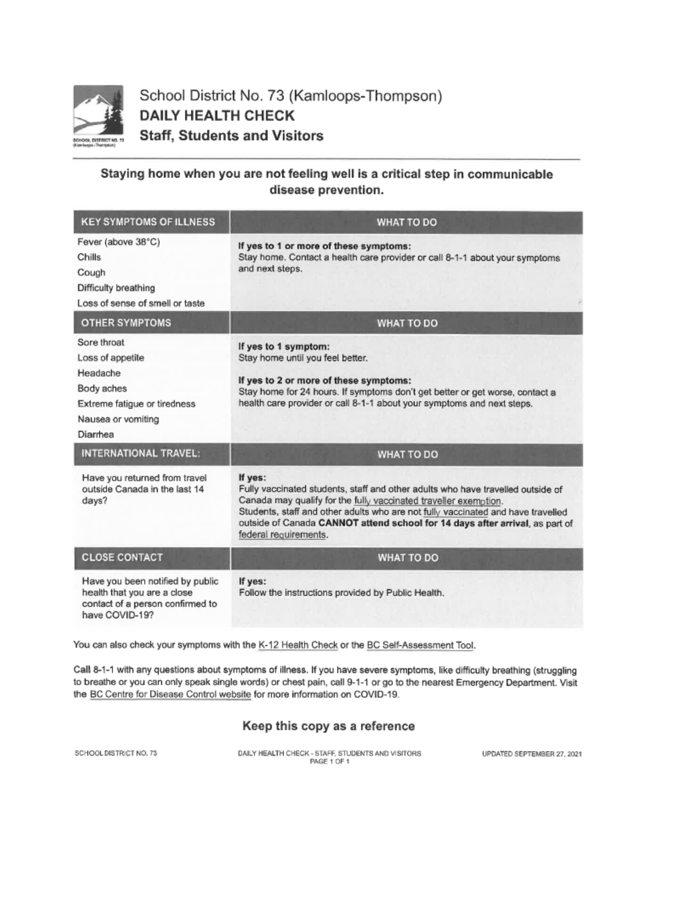

School District No. 73 (Kamloops-Thompson) **DAILY HEALTH CHECK Staff, Students and Visitors** 

#### Staying home when you are not feeling well is a critical step in communicable disease prevention.

| <b>KEY SYMPTOMS OF ILLNESS</b>                                                                                              | <b>WHAT TO DO</b>                                                                                                                                                                                                                                                                                                                                           |
|-----------------------------------------------------------------------------------------------------------------------------|-------------------------------------------------------------------------------------------------------------------------------------------------------------------------------------------------------------------------------------------------------------------------------------------------------------------------------------------------------------|
| Fever (above 38°C)<br>Chills<br>Cough<br>Difficulty breathing<br>Loss of sense of smell or taste                            | If yes to 1 or more of these symptoms:<br>Stay home. Contact a health care provider or call 8-1-1 about your symptoms<br>and next steps.                                                                                                                                                                                                                    |
| <b>OTHER SYMPTOMS</b>                                                                                                       | <b>WHAT TO DO</b>                                                                                                                                                                                                                                                                                                                                           |
| Sore throat<br>Loss of appetite<br>Headache<br>Body aches<br>Extreme fatigue or tiredness<br>Nausea or vomiting<br>Diarrhea | If yes to 1 symptom:<br>Stay home until you feel better.<br>If yes to 2 or more of these symptoms:<br>Stay home for 24 hours. If symptoms don't get better or get worse, contact a<br>health care provider or call 8-1-1 about your symptoms and next steps.                                                                                                |
| <b>INTERNATIONAL TRAVEL:</b>                                                                                                | <b>WHAT TO DO</b>                                                                                                                                                                                                                                                                                                                                           |
| Have you returned from travel<br>outside Canada in the last 14<br>days?                                                     | If yes:<br>Fully vaccinated students, staff and other adults who have travelled outside of<br>Canada may qualify for the fully vaccinated traveller exemption.<br>Students, staff and other adults who are not fully vaccinated and have travelled<br>outside of Canada CANNOT attend school for 14 days after arrival, as part of<br>federal requirements. |
| <b>CLOSE CONTACT</b>                                                                                                        | <b>WHAT TO DO</b>                                                                                                                                                                                                                                                                                                                                           |
| Have you been notified by public<br>health that you are a close<br>contact of a person confirmed to<br>have COVID-19?       | If yes:<br>Follow the instructions provided by Public Health.                                                                                                                                                                                                                                                                                               |

You can also check your symptoms with the K-12 Health Check or the BC Self-Assessment Tool.

Call 8-1-1 with any questions about symptoms of illness. If you have severe symptoms, like difficulty breathing (struggling to breathe or you can only speak single words) or chest pain, call 9-1-1 or go to the nearest Emergency Department. Visit the BC Centre for Disease Control website for more information on COVID-19.

#### Keep this copy as a reference

SCHOOLDISTRICT NO. 73

DAILY HEALTH CHECK - STAFF, STUDENTS AND VISITORS PAGE 1 OF 1

UPDATED SEPTEMBER 27, 2021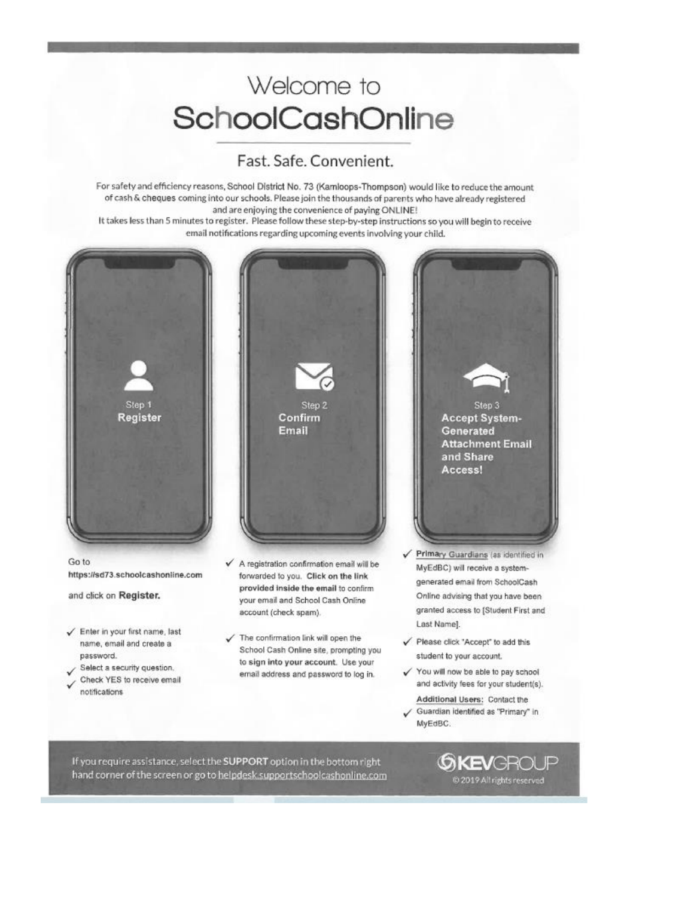## Welcome to SchoolCashOnline

#### Fast. Safe. Convenient.

For safety and efficiency reasons, School District No. 73 (Kamloops-Thompson) would like to reduce the amount of cash & cheques coming into our schools. Please join the thousands of parents who have already registered and are enjoying the convenience of paying ONLINE!

It takes less than 5 minutes to register. Please follow these step-by-step instructions so you will begin to receive email notifications regarding upcoming events involving your child.



If you require assistance, select the SUPPORT option in the bottom right hand corner of the screen or go to helpdesk supportschoolcashonline.com **GKEVGROUP** @ 2019 All rights reserved